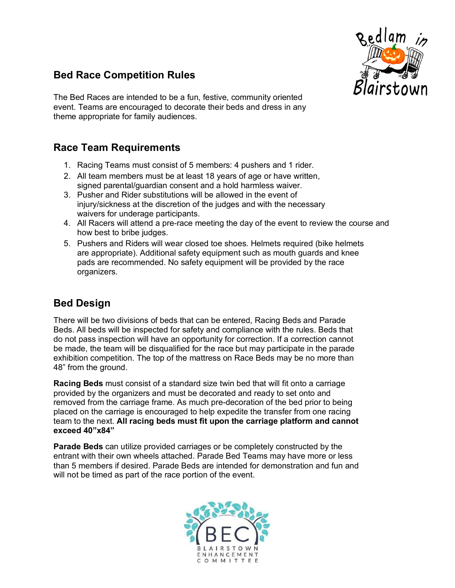

## **Bed Race Competition Rules**

The Bed Races are intended to be a fun, festive, community oriented event. Teams are encouraged to decorate their beds and dress in any theme appropriate for family audiences.

## **Race Team Requirements**

- 1. Racing Teams must consist of 5 members: 4 pushers and 1 rider.
- 2. All team members must be at least 18 years of age or have written, signed parental/guardian consent and a hold harmless waiver.
- 3. Pusher and Rider substitutions will be allowed in the event of injury/sickness at the discretion of the judges and with the necessary waivers for underage participants.
- 4. All Racers will attend a pre-race meeting the day of the event to review the course and how best to bribe judges.
- 5. Pushers and Riders will wear closed toe shoes. Helmets required (bike helmets are appropriate). Additional safety equipment such as mouth guards and knee pads are recommended. No safety equipment will be provided by the race organizers.

## **Bed Design**

There will be two divisions of beds that can be entered, Racing Beds and Parade Beds. All beds will be inspected for safety and compliance with the rules. Beds that do not pass inspection will have an opportunity for correction. If a correction cannot be made, the team will be disqualified for the race but may participate in the parade exhibition competition. The top of the mattress on Race Beds may be no more than 48" from the ground.

**Racing Beds** must consist of a standard size twin bed that will fit onto a carriage provided by the organizers and must be decorated and ready to set onto and removed from the carriage frame. As much pre-decoration of the bed prior to being placed on the carriage is encouraged to help expedite the transfer from one racing team to the next. **All racing beds must fit upon the carriage platform and cannot exceed 40"x84"**

**Parade Beds** can utilize provided carriages or be completely constructed by the entrant with their own wheels attached. Parade Bed Teams may have more or less than 5 members if desired. Parade Beds are intended for demonstration and fun and will not be timed as part of the race portion of the event.